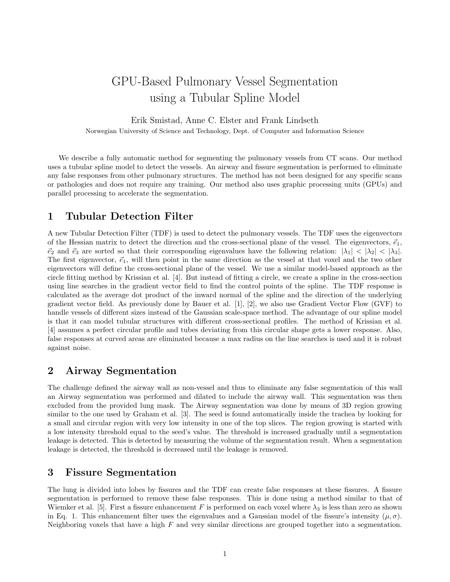# GPU-Based Pulmonary Vessel Segmentation using a Tubular Spline Model

Erik Smistad, Anne C. Elster and Frank Lindseth

Norwegian University of Science and Technology, Dept. of Computer and Information Science

We describe a fully automatic method for segmenting the pulmonary vessels from CT scans. Our method uses a tubular spline model to detect the vessels. An airway and fissure segmentation is performed to eliminate any false responses from other pulmonary structures. The method has not been designed for any specific scans or pathologies and does not require any training. Our method also uses graphic processing units (GPUs) and parallel processing to accelerate the segmentation.

#### 1 Tubular Detection Filter

A new Tubular Detection Filter (TDF) is used to detect the pulmonary vessels. The TDF uses the eigenvectors of the Hessian matrix to detect the direction and the cross-sectional plane of the vessel. The eigenvectors,  $\vec{e}_1$ ,  $\vec{e}_2$  and  $\vec{e}_3$  are sorted so that their corresponding eigenvalues have the following relation:  $|\lambda_1| < |\lambda_2| < |\lambda_3|$ . The first eigenvector,  $\vec{e}_1$ , will then point in the same direction as the vessel at that voxel and the two other eigenvectors will define the cross-sectional plane of the vessel. We use a similar model-based approach as the circle fitting method by Krissian et al. [4]. But instead of fitting a circle, we create a spline in the cross-section using line searches in the gradient vector field to find the control points of the spline. The TDF response is calculated as the average dot product of the inward normal of the spline and the direction of the underlying gradient vector field. As previously done by Bauer et al. [1], [2], we also use Gradient Vector Flow (GVF) to handle vessels of different sizes instead of the Gaussian scale-space method. The advantage of our spline model is that it can model tubular structures with different cross-sectional profiles. The method of Krissian et al. [4] assumes a perfect circular profile and tubes deviating from this circular shape gets a lower response. Also, false responses at curved areas are eliminated because a max radius on the line searches is used and it is robust against noise.

## 2 Airway Segmentation

The challenge defined the airway wall as non-vessel and thus to eliminate any false segmentation of this wall an Airway segmentation was performed and dilated to include the airway wall. This segmentation was then excluded from the provided lung mask. The Airway segmentation was done by means of 3D region growing similar to the one used by Graham et al. [3]. The seed is found automatically inside the trachea by looking for a small and circular region with very low intensity in one of the top slices. The region growing is started with a low intensity threshold equal to the seed's value. The threshold is increased gradually until a segmentation leakage is detected. This is detected by measuring the volume of the segmentation result. When a segmentation leakage is detected, the threshold is decreased until the leakage is removed.

#### 3 Fissure Segmentation

The lung is divided into lobes by fissures and the TDF can create false responses at these fissures. A fissure segmentation is performed to remove these false responses. This is done using a method similar to that of Wiemker et al. [5]. First a fissure enhancement F is performed on each voxel where  $\lambda_3$  is less than zero as shown in Eq. 1. This enhancement filter uses the eigenvalues and a Gaussian model of the fissure's intensity  $(\mu, \sigma)$ . Neighboring voxels that have a high  $F$  and very similar directions are grouped together into a segmentation.